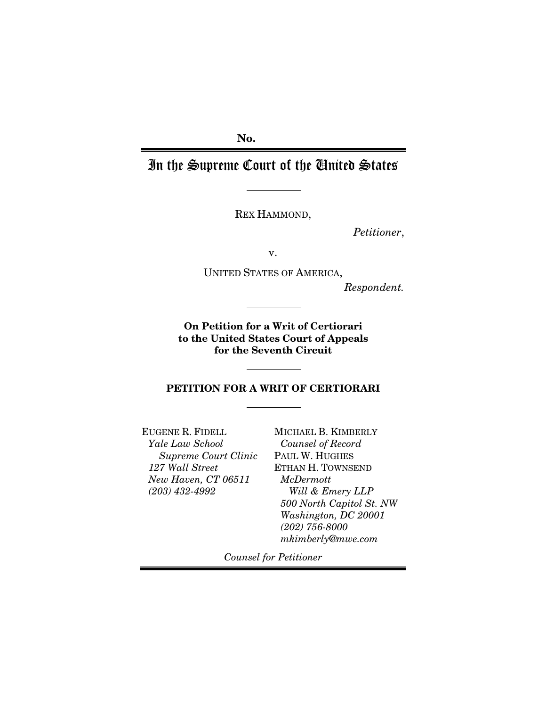No.

In the Supreme Court of the United States

REX HAMMOND,

*Petitioner*,

v.

UNITED STATES OF AMERICA,

*Respondent.*

On Petition for a Writ of Certiorari to the United States Court of Appeals for the Seventh Circuit

PETITION FOR A WRIT OF CERTIORARI

EUGENE R. FIDELL *Yale Law School Supreme Court Clinic 127 Wall Street New Haven, CT 06511 (203) 432-4992*

MICHAEL B. KIMBERLY *Counsel of Record* PAUL W. HUGHES ETHAN H. TOWNSEND *McDermott Will & Emery LLP 500 North Capitol St. NW Washington, DC 20001 (202) 756-8000 mkimberly@mwe.com*

*Counsel for Petitioner*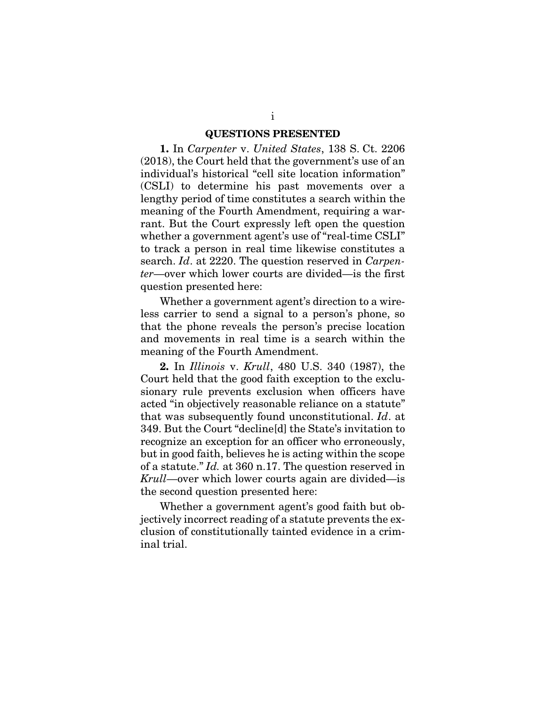#### QUESTIONS PRESENTED

<span id="page-1-0"></span>1. In *Carpenter* v. *United States*, 138 S. Ct. 2206 (2018), the Court held that the government's use of an individual's historical "cell site location information" (CSLI) to determine his past movements over a lengthy period of time constitutes a search within the meaning of the Fourth Amendment, requiring a warrant. But the Court expressly left open the question whether a government agent's use of "real-time CSLI" to track a person in real time likewise constitutes a search. *Id*. at 2220. The question reserved in *Carpenter*—over which lower courts are divided—is the first question presented here:

Whether a government agent's direction to a wireless carrier to send a signal to a person's phone, so that the phone reveals the person's precise location and movements in real time is a search within the meaning of the Fourth Amendment.

2. In *Illinois* v. *Krull*, 480 U.S. 340 (1987), the Court held that the good faith exception to the exclusionary rule prevents exclusion when officers have acted "in objectively reasonable reliance on a statute" that was subsequently found unconstitutional. *Id*. at 349. But the Court "decline[d] the State's invitation to recognize an exception for an officer who erroneously, but in good faith, believes he is acting within the scope of a statute." *Id.* at 360 n.17. The question reserved in *Krull*—over which lower courts again are divided—is the second question presented here:

Whether a government agent's good faith but objectively incorrect reading of a statute prevents the exclusion of constitutionally tainted evidence in a criminal trial.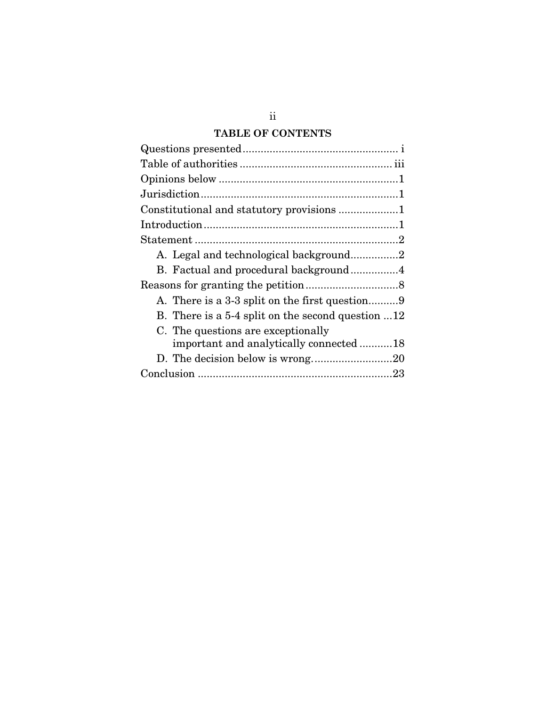# **TABLE OF CONTENTS**

| A. Legal and technological background2                    |
|-----------------------------------------------------------|
| B. Factual and procedural background4                     |
|                                                           |
|                                                           |
| B. There is a 5-4 split on the second question $\dots 12$ |
| C. The questions are exceptionally                        |
| important and analytically connected 18                   |
|                                                           |
|                                                           |
|                                                           |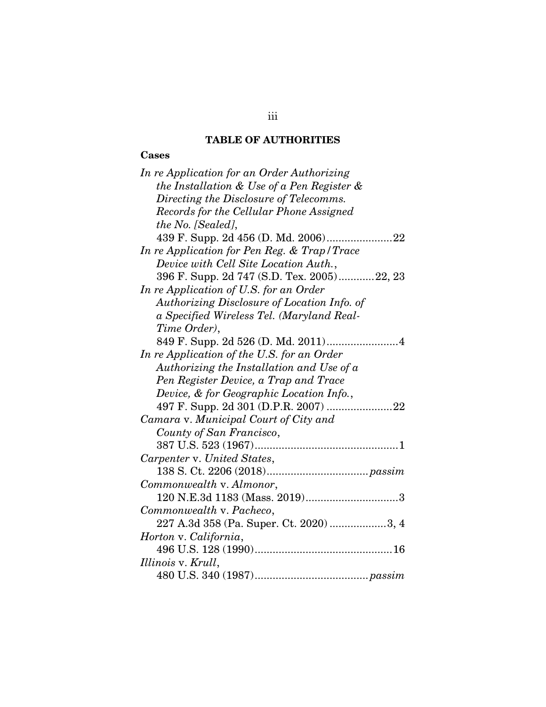# TABLE OF AUTHORITIES

# <span id="page-3-0"></span>Cases

| In re Application for an Order Authorizing  |
|---------------------------------------------|
| the Installation & Use of a Pen Register &  |
| Directing the Disclosure of Telecomms.      |
| Records for the Cellular Phone Assigned     |
| the No. [Sealed],                           |
|                                             |
| In re Application for Pen Reg. & Trap/Trace |
| Device with Cell Site Location Auth.,       |
| 396 F. Supp. 2d 747 (S.D. Tex. 2005)22, 23  |
| In re Application of U.S. for an Order      |
| Authorizing Disclosure of Location Info. of |
| a Specified Wireless Tel. (Maryland Real-   |
| Time Order),                                |
|                                             |
| In re Application of the U.S. for an Order  |
| Authorizing the Installation and Use of a   |
| Pen Register Device, a Trap and Trace       |
| Device, & for Geographic Location Info.,    |
|                                             |
| Camara v. Municipal Court of City and       |
| County of San Francisco,                    |
|                                             |
| Carpenter v. United States,                 |
|                                             |
| Commonwealth v. Almonor,                    |
| 120 N.E.3d 1183 (Mass. 2019)3               |
| Commonwealth v. Pacheco,                    |
| 227 A.3d 358 (Pa. Super. Ct. 2020) 3, 4     |
| Horton v. California,                       |
|                                             |
| Illinois v. Krull,                          |
|                                             |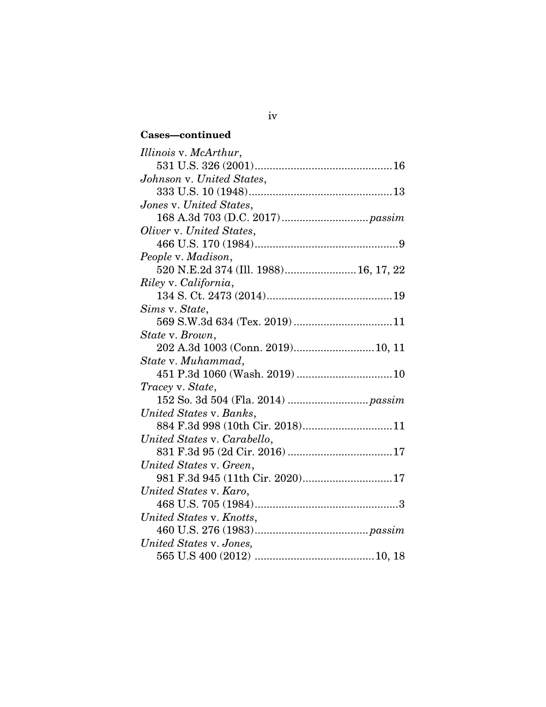# Cases—continued

| Illinois v. McArthur,                 |
|---------------------------------------|
|                                       |
| Johnson v. United States,             |
|                                       |
| Jones v. United States,               |
|                                       |
| Oliver v. United States,              |
|                                       |
| People v. Madison,                    |
| 520 N.E.2d 374 (Ill. 1988) 16, 17, 22 |
| Riley v. California,                  |
|                                       |
| Sims v. State,                        |
|                                       |
| State v. Brown,                       |
| 202 A.3d 1003 (Conn. 2019) 10, 11     |
| State v. Muhammad,                    |
|                                       |
| Tracey v. State,                      |
|                                       |
| United States v. Banks,               |
| 884 F.3d 998 (10th Cir. 2018)11       |
| United States v. Carabello,           |
|                                       |
| United States v. Green,               |
| 981 F.3d 945 (11th Cir. 2020)17       |
| United States v. Karo,                |
|                                       |
| United States v. Knotts,              |
|                                       |
| United States v. Jones,               |
|                                       |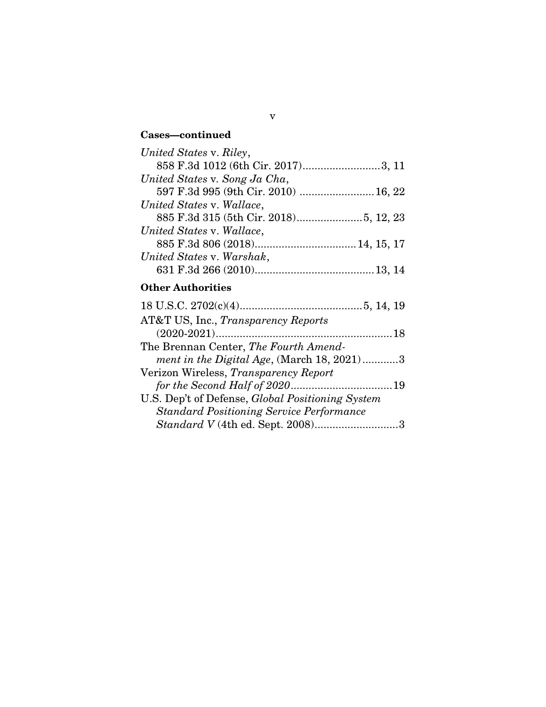# Cases—continued

| United States v. Riley,              |  |
|--------------------------------------|--|
| 858 F.3d 1012 (6th Cir. 2017)3, 11   |  |
| United States v. Song Ja Cha,        |  |
| 597 F.3d 995 (9th Cir. 2010)  16, 22 |  |
| United States v. Wallace,            |  |
|                                      |  |
| United States v. Wallace,            |  |
|                                      |  |
| United States v. Warshak,            |  |
|                                      |  |

# Other Authorities

| AT&T US, Inc., Transparency Reports              |  |
|--------------------------------------------------|--|
|                                                  |  |
| The Brennan Center, The Fourth Amend-            |  |
| ment in the Digital Age, (March 18, 2021)3       |  |
| Verizon Wireless, Transparency Report            |  |
|                                                  |  |
| U.S. Dep't of Defense, Global Positioning System |  |
| <b>Standard Positioning Service Performance</b>  |  |
|                                                  |  |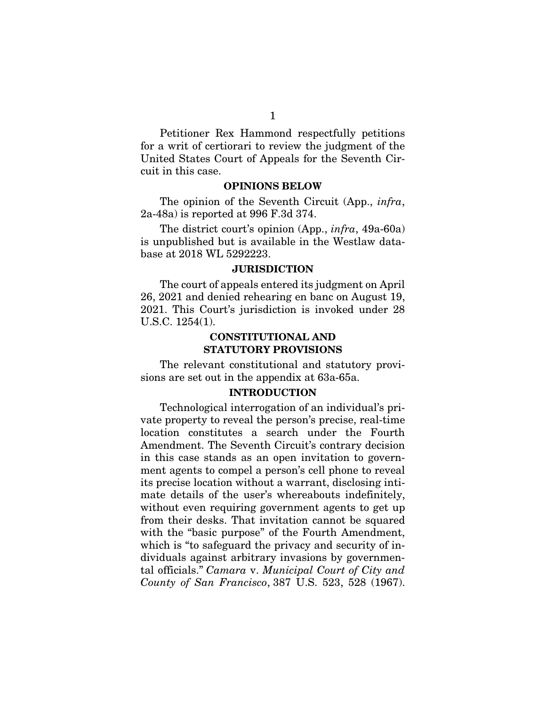Petitioner Rex Hammond respectfully petitions for a writ of certiorari to review the judgment of the United States Court of Appeals for the Seventh Circuit in this case.

## OPINIONS BELOW

<span id="page-6-0"></span>The opinion of the Seventh Circuit (App., *infra*, 2a-48a) is reported at 996 F.3d 374.

The district court's opinion (App., *infra*, 49a-60a) is unpublished but is available in the Westlaw database at 2018 WL 5292223.

## **JURISDICTION**

<span id="page-6-1"></span>The court of appeals entered its judgment on April 26, 2021 and denied rehearing en banc on August 19, 2021. This Court's jurisdiction is invoked under 28 U.S.C. 1254(1).

## CONSTITUTIONAL AND STATUTORY PROVISIONS

<span id="page-6-2"></span>The relevant constitutional and statutory provisions are set out in the appendix at 63a-65a.

## INTRODUCTION

<span id="page-6-4"></span><span id="page-6-3"></span>Technological interrogation of an individual's private property to reveal the person's precise, real-time location constitutes a search under the Fourth Amendment. The Seventh Circuit's contrary decision in this case stands as an open invitation to government agents to compel a person's cell phone to reveal its precise location without a warrant, disclosing intimate details of the user's whereabouts indefinitely, without even requiring government agents to get up from their desks. That invitation cannot be squared with the "basic purpose" of the Fourth Amendment, which is "to safeguard the privacy and security of individuals against arbitrary invasions by governmental officials." *Camara* v. *Municipal Court of City and County of San Francisco*, 387 U.S. 523, 528 (1967).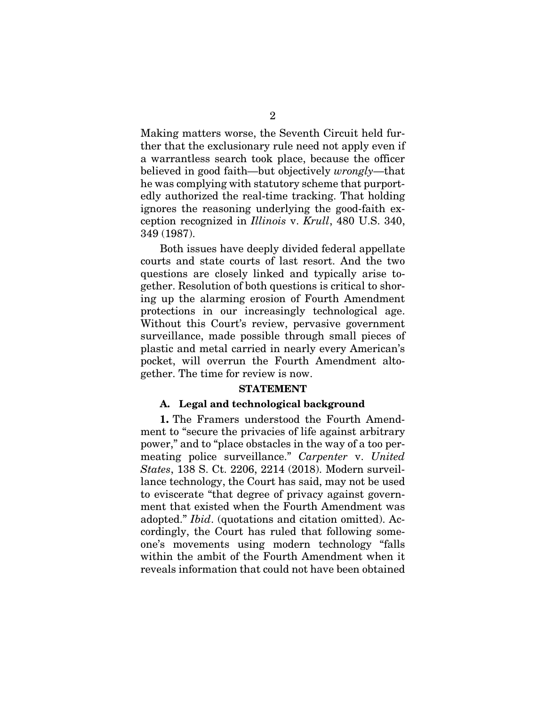Making matters worse, the Seventh Circuit held further that the exclusionary rule need not apply even if a warrantless search took place, because the officer believed in good faith—but objectively *wrongly*—that he was complying with statutory scheme that purportedly authorized the real-time tracking. That holding ignores the reasoning underlying the good-faith exception recognized in *Illinois* v. *Krull*, 480 U.S. 340, 349 (1987).

<span id="page-7-3"></span>Both issues have deeply divided federal appellate courts and state courts of last resort. And the two questions are closely linked and typically arise together. Resolution of both questions is critical to shoring up the alarming erosion of Fourth Amendment protections in our increasingly technological age. Without this Court's review, pervasive government surveillance, made possible through small pieces of plastic and metal carried in nearly every American's pocket, will overrun the Fourth Amendment altogether. The time for review is now.

#### <span id="page-7-2"></span>STATEMENT

## <span id="page-7-0"></span>A. Legal and technological background

<span id="page-7-1"></span>1. The Framers understood the Fourth Amendment to "secure the privacies of life against arbitrary power," and to "place obstacles in the way of a too permeating police surveillance." *Carpenter* v. *United States*, 138 S. Ct. 2206, 2214 (2018). Modern surveillance technology, the Court has said, may not be used to eviscerate "that degree of privacy against government that existed when the Fourth Amendment was adopted." *Ibid*. (quotations and citation omitted). Accordingly, the Court has ruled that following someone's movements using modern technology "falls within the ambit of the Fourth Amendment when it reveals information that could not have been obtained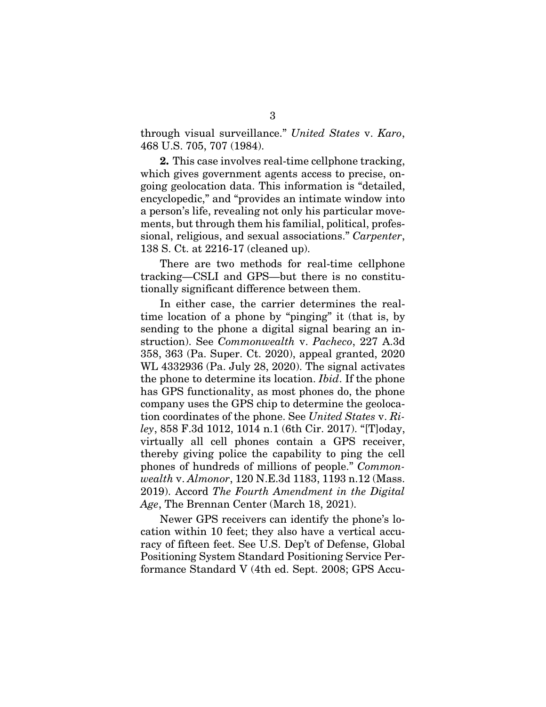<span id="page-8-2"></span>through visual surveillance." *United States* v. *Karo*, 468 U.S. 705, 707 (1984).

2. This case involves real-time cellphone tracking, which gives government agents access to precise, ongoing geolocation data. This information is "detailed, encyclopedic," and "provides an intimate window into a person's life, revealing not only his particular movements, but through them his familial, political, professional, religious, and sexual associations." *Carpenter*, 138 S. Ct. at 2216-17 (cleaned up).

There are two methods for real-time cellphone tracking—CSLI and GPS—but there is no constitutionally significant difference between them.

<span id="page-8-1"></span>In either case, the carrier determines the realtime location of a phone by "pinging" it (that is, by sending to the phone a digital signal bearing an instruction). See *Commonwealth* v. *Pacheco*, 227 A.3d 358, 363 (Pa. Super. Ct. 2020), appeal granted, 2020 WL 4332936 (Pa. July 28, 2020). The signal activates the phone to determine its location. *Ibid*. If the phone has GPS functionality, as most phones do, the phone company uses the GPS chip to determine the geolocation coordinates of the phone. See *United States* v. *Riley*, 858 F.3d 1012, 1014 n.1 (6th Cir. 2017). "[T]oday, virtually all cell phones contain a GPS receiver, thereby giving police the capability to ping the cell phones of hundreds of millions of people." *Commonwealth* v. *Almonor*, 120 N.E.3d 1183, 1193 n.12 (Mass. 2019). Accord *The Fourth Amendment in the Digital Age*, The Brennan Center (March 18, 2021).

<span id="page-8-3"></span><span id="page-8-0"></span>Newer GPS receivers can identify the phone's location within 10 feet; they also have a vertical accuracy of fifteen feet. See U.S. Dep't of Defense, Global Positioning System Standard Positioning Service Performance Standard V (4th ed. Sept. 2008; GPS Accu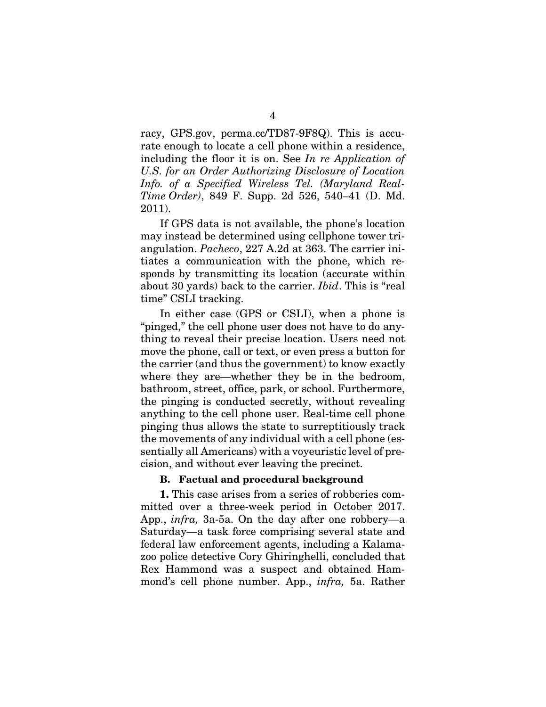<span id="page-9-1"></span>racy, GPS.gov, perma.cc/TD87-9F8Q). This is accurate enough to locate a cell phone within a residence, including the floor it is on. See *In re Application of U.S. for an Order Authorizing Disclosure of Location Info. of a Specified Wireless Tel. (Maryland Real-Time Order)*, 849 F. Supp. 2d 526, 540–41 (D. Md. 2011).

<span id="page-9-2"></span>If GPS data is not available, the phone's location may instead be determined using cellphone tower triangulation. *Pacheco*, 227 A.2d at 363. The carrier initiates a communication with the phone, which responds by transmitting its location (accurate within about 30 yards) back to the carrier. *Ibid*. This is "real time" CSLI tracking.

In either case (GPS or CSLI), when a phone is "pinged," the cell phone user does not have to do anything to reveal their precise location. Users need not move the phone, call or text, or even press a button for the carrier (and thus the government) to know exactly where they are—whether they be in the bedroom, bathroom, street, office, park, or school. Furthermore, the pinging is conducted secretly, without revealing anything to the cell phone user. Real-time cell phone pinging thus allows the state to surreptitiously track the movements of any individual with a cell phone (essentially all Americans) with a voyeuristic level of precision, and without ever leaving the precinct.

### B. Factual and procedural background

<span id="page-9-0"></span>1. This case arises from a series of robberies committed over a three-week period in October 2017. App., *infra,* 3a-5a. On the day after one robbery—a Saturday—a task force comprising several state and federal law enforcement agents, including a Kalamazoo police detective Cory Ghiringhelli, concluded that Rex Hammond was a suspect and obtained Hammond's cell phone number. App., *infra,* 5a. Rather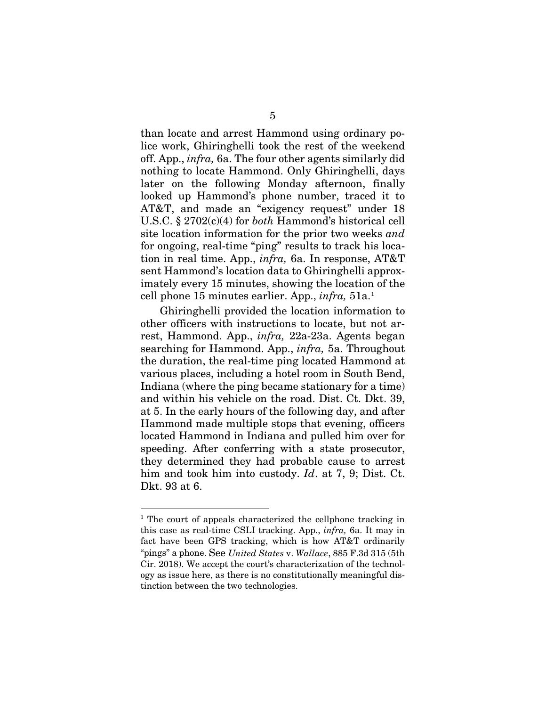<span id="page-10-1"></span>than locate and arrest Hammond using ordinary police work, Ghiringhelli took the rest of the weekend off. App., *infra,* 6a. The four other agents similarly did nothing to locate Hammond. Only Ghiringhelli, days later on the following Monday afternoon, finally looked up Hammond's phone number, traced it to AT&T, and made an "exigency request" under 18 U.S.C. § 2702(c)(4) for *both* Hammond's historical cell site location information for the prior two weeks *and* for ongoing, real-time "ping" results to track his location in real time. App., *infra,* 6a. In response, AT&T sent Hammond's location data to Ghiringhelli approximately every 15 minutes, showing the location of the cell phone 15 minutes earlier. App., *infra,* 51a. [1](#page-10-2)

Ghiringhelli provided the location information to other officers with instructions to locate, but not arrest, Hammond. App., *infra,* 22a-23a. Agents began searching for Hammond. App., *infra,* 5a. Throughout the duration, the real-time ping located Hammond at various places, including a hotel room in South Bend, Indiana (where the ping became stationary for a time) and within his vehicle on the road. Dist. Ct. Dkt. 39, at 5. In the early hours of the following day, and after Hammond made multiple stops that evening, officers located Hammond in Indiana and pulled him over for speeding. After conferring with a state prosecutor, they determined they had probable cause to arrest him and took him into custody. *Id*. at 7, 9; Dist. Ct. Dkt. 93 at 6.

<span id="page-10-2"></span><span id="page-10-0"></span><sup>&</sup>lt;sup>1</sup> The court of appeals characterized the cellphone tracking in this case as real-time CSLI tracking. App., *infra,* 6a. It may in fact have been GPS tracking, which is how AT&T ordinarily "pings" a phone. See *United States* v. *Wallace*, 885 F.3d 315 (5th Cir. 2018). We accept the court's characterization of the technology as issue here, as there is no constitutionally meaningful distinction between the two technologies.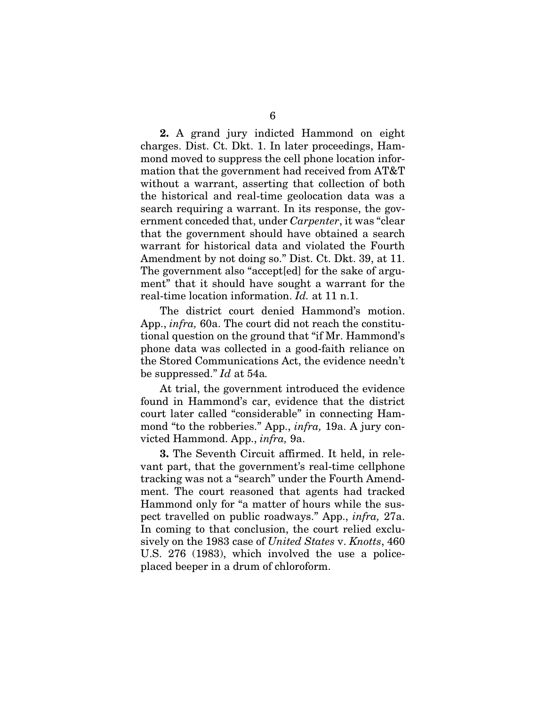2. A grand jury indicted Hammond on eight charges. Dist. Ct. Dkt. 1. In later proceedings, Hammond moved to suppress the cell phone location information that the government had received from AT&T without a warrant, asserting that collection of both the historical and real-time geolocation data was a search requiring a warrant. In its response, the government conceded that, under *Carpenter*, it was "clear that the government should have obtained a search warrant for historical data and violated the Fourth Amendment by not doing so." Dist. Ct. Dkt. 39, at 11. The government also "accept[ed] for the sake of argument" that it should have sought a warrant for the real-time location information. *Id.* at 11 n.1.

The district court denied Hammond's motion. App., *infra,* 60a. The court did not reach the constitutional question on the ground that "if Mr. Hammond's phone data was collected in a good-faith reliance on the Stored Communications Act, the evidence needn't be suppressed." *Id* at 54a*.*

At trial, the government introduced the evidence found in Hammond's car, evidence that the district court later called "considerable" in connecting Hammond "to the robberies." App., *infra,* 19a. A jury convicted Hammond. App., *infra,* 9a.

<span id="page-11-0"></span>3. The Seventh Circuit affirmed. It held, in relevant part, that the government's real-time cellphone tracking was not a "search" under the Fourth Amendment. The court reasoned that agents had tracked Hammond only for "a matter of hours while the suspect travelled on public roadways." App., *infra,* 27a. In coming to that conclusion, the court relied exclusively on the 1983 case of *United States* v. *Knotts*, 460 U.S. 276 (1983), which involved the use a policeplaced beeper in a drum of chloroform.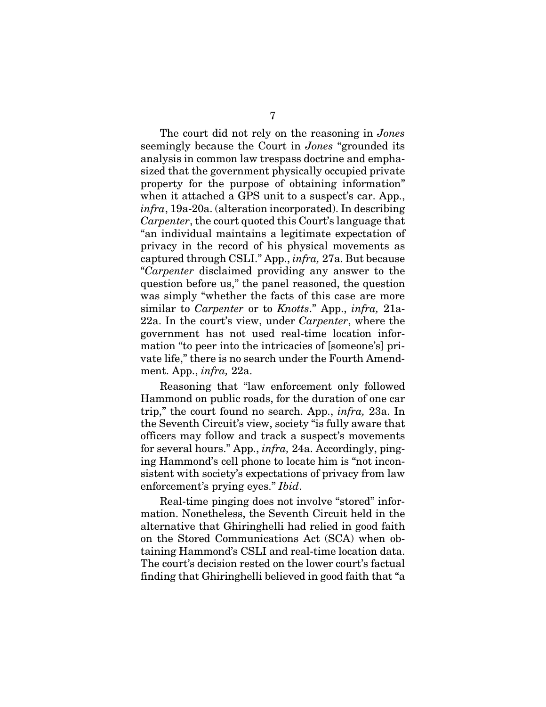<span id="page-12-0"></span>The court did not rely on the reasoning in *Jones* seemingly because the Court in *Jones* "grounded its analysis in common law trespass doctrine and emphasized that the government physically occupied private property for the purpose of obtaining information" when it attached a GPS unit to a suspect's car. App., *infra*, 19a-20a. (alteration incorporated). In describing *Carpenter*, the court quoted this Court's language that "an individual maintains a legitimate expectation of privacy in the record of his physical movements as captured through CSLI." App., *infra,* 27a. But because "*Carpenter* disclaimed providing any answer to the question before us," the panel reasoned, the question was simply "whether the facts of this case are more similar to *Carpenter* or to *Knotts*." App., *infra,* 21a-22a. In the court's view, under *Carpenter*, where the government has not used real-time location information "to peer into the intricacies of [someone's] private life," there is no search under the Fourth Amendment. App., *infra,* 22a.

Reasoning that "law enforcement only followed Hammond on public roads, for the duration of one car trip," the court found no search. App., *infra,* 23a. In the Seventh Circuit's view, society "is fully aware that officers may follow and track a suspect's movements for several hours." App., *infra,* 24a. Accordingly, pinging Hammond's cell phone to locate him is "not inconsistent with society's expectations of privacy from law enforcement's prying eyes." *Ibid*.

Real-time pinging does not involve "stored" information. Nonetheless, the Seventh Circuit held in the alternative that Ghiringhelli had relied in good faith on the Stored Communications Act (SCA) when obtaining Hammond's CSLI and real-time location data. The court's decision rested on the lower court's factual finding that Ghiringhelli believed in good faith that "a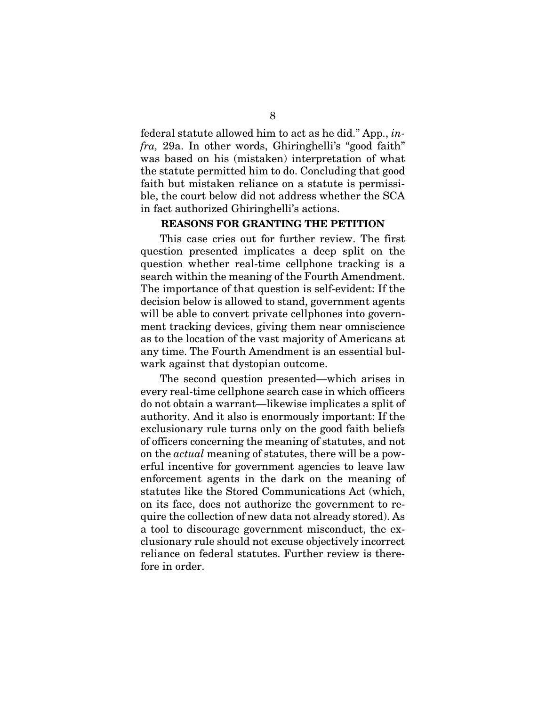federal statute allowed him to act as he did." App., *infra,* 29a. In other words, Ghiringhelli's "good faith" was based on his (mistaken) interpretation of what the statute permitted him to do. Concluding that good faith but mistaken reliance on a statute is permissible, the court below did not address whether the SCA in fact authorized Ghiringhelli's actions.

## REASONS FOR GRANTING THE PETITION

<span id="page-13-0"></span>This case cries out for further review. The first question presented implicates a deep split on the question whether real-time cellphone tracking is a search within the meaning of the Fourth Amendment. The importance of that question is self-evident: If the decision below is allowed to stand, government agents will be able to convert private cellphones into government tracking devices, giving them near omniscience as to the location of the vast majority of Americans at any time. The Fourth Amendment is an essential bulwark against that dystopian outcome.

The second question presented—which arises in every real-time cellphone search case in which officers do not obtain a warrant—likewise implicates a split of authority. And it also is enormously important: If the exclusionary rule turns only on the good faith beliefs of officers concerning the meaning of statutes, and not on the *actual* meaning of statutes, there will be a powerful incentive for government agencies to leave law enforcement agents in the dark on the meaning of statutes like the Stored Communications Act (which, on its face, does not authorize the government to require the collection of new data not already stored). As a tool to discourage government misconduct, the exclusionary rule should not excuse objectively incorrect reliance on federal statutes. Further review is therefore in order.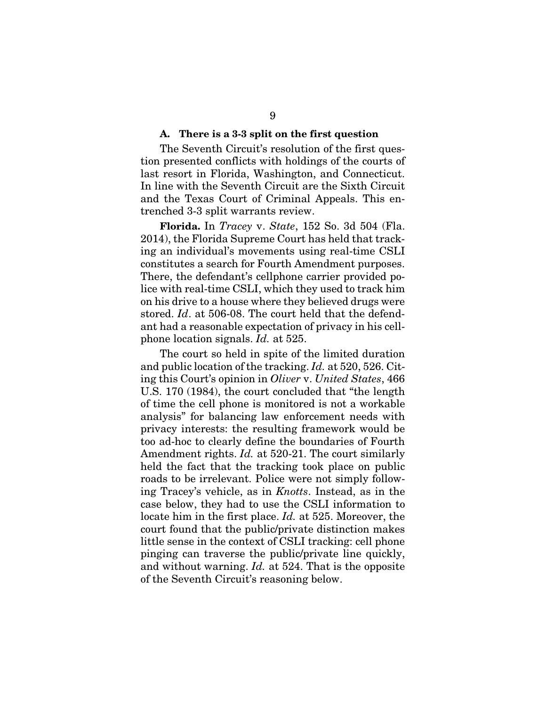#### A. There is a 3-3 split on the first question

<span id="page-14-0"></span>The Seventh Circuit's resolution of the first question presented conflicts with holdings of the courts of last resort in Florida, Washington, and Connecticut. In line with the Seventh Circuit are the Sixth Circuit and the Texas Court of Criminal Appeals. This entrenched 3-3 split warrants review.

<span id="page-14-2"></span>Florida. In *Tracey* v. *State*, 152 So. 3d 504 (Fla. 2014), the Florida Supreme Court has held that tracking an individual's movements using real-time CSLI constitutes a search for Fourth Amendment purposes. There, the defendant's cellphone carrier provided police with real-time CSLI, which they used to track him on his drive to a house where they believed drugs were stored. *Id*. at 506-08. The court held that the defendant had a reasonable expectation of privacy in his cellphone location signals. *Id.* at 525.

<span id="page-14-1"></span>The court so held in spite of the limited duration and public location of the tracking. *Id.* at 520, 526. Citing this Court's opinion in *Oliver* v. *United States*, 466 U.S. 170 (1984), the court concluded that "the length of time the cell phone is monitored is not a workable analysis" for balancing law enforcement needs with privacy interests: the resulting framework would be too ad-hoc to clearly define the boundaries of Fourth Amendment rights. *Id.* at 520-21. The court similarly held the fact that the tracking took place on public roads to be irrelevant. Police were not simply following Tracey's vehicle, as in *Knotts*. Instead, as in the case below, they had to use the CSLI information to locate him in the first place. *Id.* at 525. Moreover, the court found that the public/private distinction makes little sense in the context of CSLI tracking: cell phone pinging can traverse the public/private line quickly, and without warning. *Id.* at 524. That is the opposite of the Seventh Circuit's reasoning below.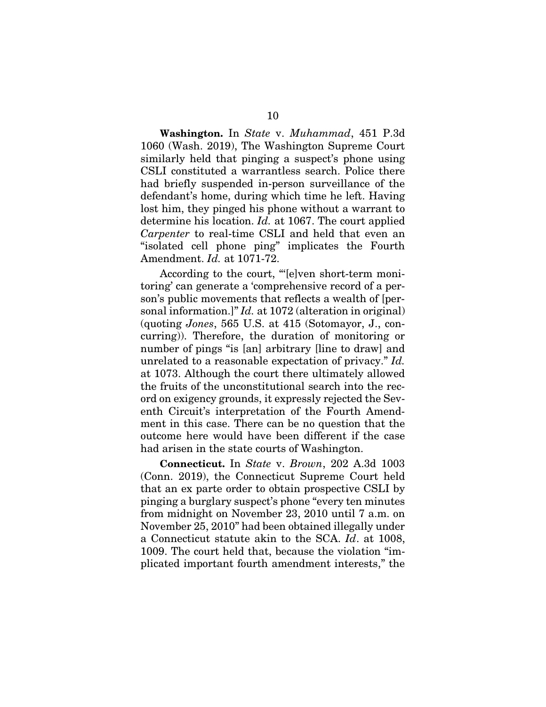<span id="page-15-1"></span>Washington. In *State* v. *Muhammad*, 451 P.3d 1060 (Wash. 2019), The Washington Supreme Court similarly held that pinging a suspect's phone using CSLI constituted a warrantless search. Police there had briefly suspended in-person surveillance of the defendant's home, during which time he left. Having lost him, they pinged his phone without a warrant to determine his location. *Id.* at 1067. The court applied *Carpenter* to real-time CSLI and held that even an "isolated cell phone ping" implicates the Fourth Amendment. *Id.* at 1071-72.

According to the court, "'[e]ven short-term monitoring' can generate a 'comprehensive record of a person's public movements that reflects a wealth of [personal information.]" *Id.* at 1072 (alteration in original) (quoting *Jones*, 565 U.S. at 415 (Sotomayor, J., concurring)). Therefore, the duration of monitoring or number of pings "is [an] arbitrary [line to draw] and unrelated to a reasonable expectation of privacy." *Id.* at 1073. Although the court there ultimately allowed the fruits of the unconstitutional search into the record on exigency grounds, it expressly rejected the Seventh Circuit's interpretation of the Fourth Amendment in this case. There can be no question that the outcome here would have been different if the case had arisen in the state courts of Washington.

<span id="page-15-0"></span>Connecticut. In *State* v. *Brown*, 202 A.3d 1003 (Conn. 2019), the Connecticut Supreme Court held that an ex parte order to obtain prospective CSLI by pinging a burglary suspect's phone "every ten minutes from midnight on November 23, 2010 until 7 a.m. on November 25, 2010" had been obtained illegally under a Connecticut statute akin to the SCA. *Id*. at 1008, 1009. The court held that, because the violation "implicated important fourth amendment interests," the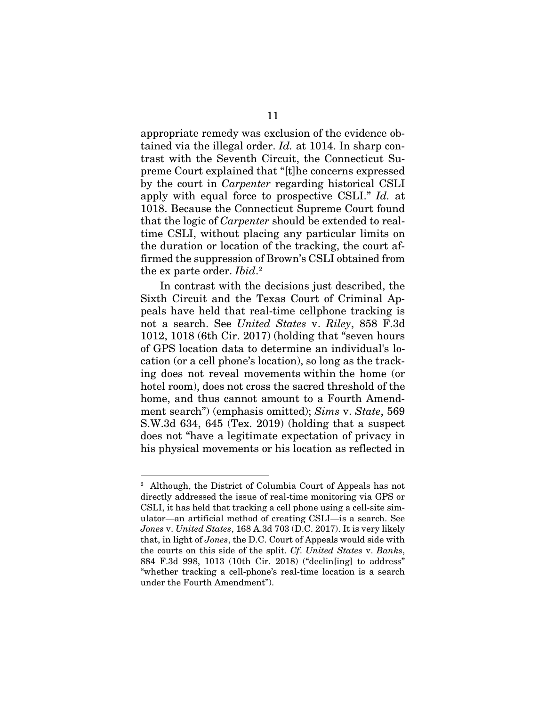<span id="page-16-1"></span>appropriate remedy was exclusion of the evidence obtained via the illegal order. *Id.* at 1014. In sharp contrast with the Seventh Circuit, the Connecticut Supreme Court explained that "[t]he concerns expressed by the court in *Carpenter* regarding historical CSLI apply with equal force to prospective CSLI." *Id.* at 1018. Because the Connecticut Supreme Court found that the logic of *Carpenter* should be extended to realtime CSLI, without placing any particular limits on the duration or location of the tracking, the court affirmed the suppression of Brown's CSLI obtained from the ex parte order. *Ibid*. [2](#page-16-4)

<span id="page-16-3"></span>In contrast with the decisions just described, the Sixth Circuit and the Texas Court of Criminal Appeals have held that real-time cellphone tracking is not a search. See *United States* v. *Riley*, 858 F.3d 1012, 1018 (6th Cir. 2017) (holding that "seven hours of GPS location data to determine an individual's location (or a cell phone's location), so long as the tracking does not reveal movements within the home (or hotel room), does not cross the sacred threshold of the home, and thus cannot amount to a Fourth Amendment search") (emphasis omitted); *Sims* v. *State*, 569 S.W.3d 634, 645 (Tex. 2019) (holding that a suspect does not "have a legitimate expectation of privacy in his physical movements or his location as reflected in

<span id="page-16-4"></span><span id="page-16-2"></span><span id="page-16-0"></span><sup>2</sup> Although, the District of Columbia Court of Appeals has not directly addressed the issue of real-time monitoring via GPS or CSLI, it has held that tracking a cell phone using a cell-site simulator—an artificial method of creating CSLI—is a search. See *Jones* v. *United States*, 168 A.3d 703 (D.C. 2017). It is very likely that, in light of *Jones*, the D.C. Court of Appeals would side with the courts on this side of the split. *Cf*. *United States* v. *Banks*, 884 F.3d 998, 1013 (10th Cir. 2018) ("declin[ing] to address" "whether tracking a cell-phone's real-time location is a search under the Fourth Amendment").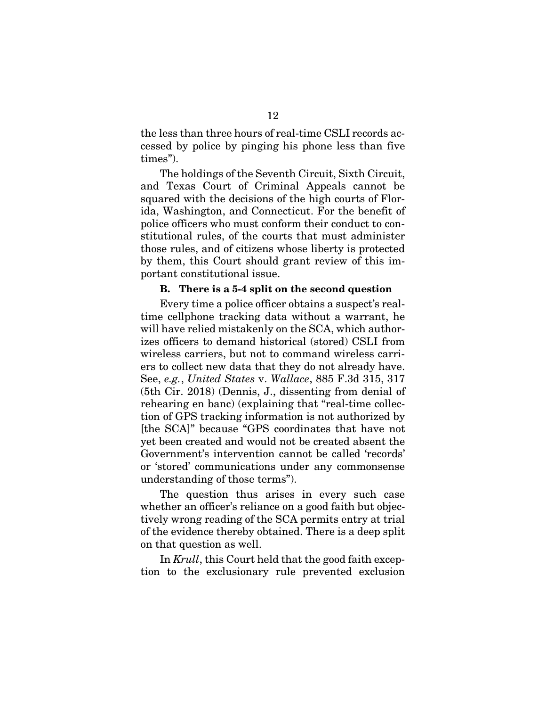the less than three hours of real-time CSLI records accessed by police by pinging his phone less than five times").

The holdings of the Seventh Circuit, Sixth Circuit, and Texas Court of Criminal Appeals cannot be squared with the decisions of the high courts of Florida, Washington, and Connecticut. For the benefit of police officers who must conform their conduct to constitutional rules, of the courts that must administer those rules, and of citizens whose liberty is protected by them, this Court should grant review of this important constitutional issue.

## B. There is a 5-4 split on the second question

<span id="page-17-1"></span><span id="page-17-0"></span>Every time a police officer obtains a suspect's realtime cellphone tracking data without a warrant, he will have relied mistakenly on the SCA, which authorizes officers to demand historical (stored) CSLI from wireless carriers, but not to command wireless carriers to collect new data that they do not already have. See, *e.g.*, *United States* v. *Wallace*, 885 F.3d 315, 317 (5th Cir. 2018) (Dennis, J., dissenting from denial of rehearing en banc) (explaining that "real-time collection of GPS tracking information is not authorized by [the SCA]" because "GPS coordinates that have not yet been created and would not be created absent the Government's intervention cannot be called 'records' or 'stored' communications under any commonsense understanding of those terms").

The question thus arises in every such case whether an officer's reliance on a good faith but objectively wrong reading of the SCA permits entry at trial of the evidence thereby obtained. There is a deep split on that question as well.

In *Krull*, this Court held that the good faith exception to the exclusionary rule prevented exclusion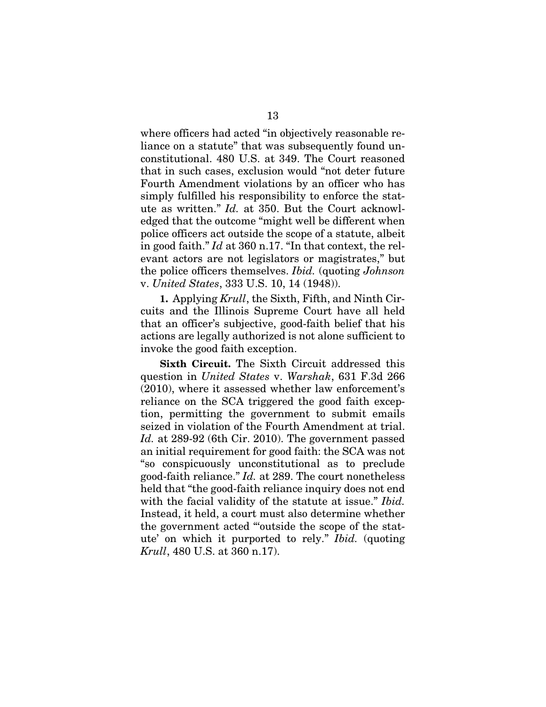where officers had acted "in objectively reasonable reliance on a statute" that was subsequently found unconstitutional. 480 U.S. at 349. The Court reasoned that in such cases, exclusion would "not deter future Fourth Amendment violations by an officer who has simply fulfilled his responsibility to enforce the statute as written." *Id.* at 350. But the Court acknowledged that the outcome "might well be different when police officers act outside the scope of a statute, albeit in good faith." *Id* at 360 n.17. "In that context, the relevant actors are not legislators or magistrates," but the police officers themselves. *Ibid.* (quoting *Johnson* v. *United States*, 333 U.S. 10, 14 (1948)).

<span id="page-18-0"></span>1. Applying *Krull*, the Sixth, Fifth, and Ninth Circuits and the Illinois Supreme Court have all held that an officer's subjective, good-faith belief that his actions are legally authorized is not alone sufficient to invoke the good faith exception.

<span id="page-18-1"></span>Sixth Circuit. The Sixth Circuit addressed this question in *United States* v. *Warshak*, 631 F.3d 266 (2010), where it assessed whether law enforcement's reliance on the SCA triggered the good faith exception, permitting the government to submit emails seized in violation of the Fourth Amendment at trial. *Id.* at 289-92 (6th Cir. 2010). The government passed an initial requirement for good faith: the SCA was not "so conspicuously unconstitutional as to preclude good-faith reliance." *Id.* at 289. The court nonetheless held that "the good-faith reliance inquiry does not end with the facial validity of the statute at issue." *Ibid.* Instead, it held, a court must also determine whether the government acted "'outside the scope of the statute' on which it purported to rely." *Ibid.* (quoting *Krull*, 480 U.S. at 360 n.17).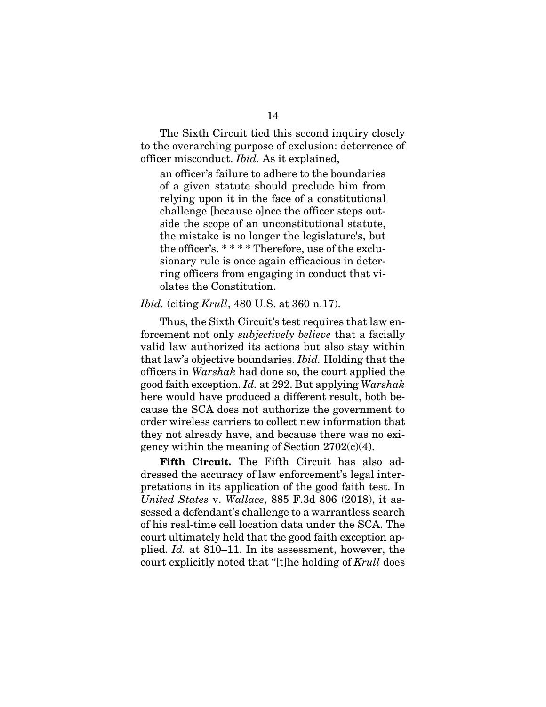The Sixth Circuit tied this second inquiry closely to the overarching purpose of exclusion: deterrence of officer misconduct. *Ibid.* As it explained,

<span id="page-19-1"></span>an officer's failure to adhere to the boundaries of a given statute should preclude him from relying upon it in the face of a constitutional challenge [because o]nce the officer steps outside the scope of an unconstitutional statute, the mistake is no longer the legislature's, but the officer's. \* \* \* \* Therefore, use of the exclusionary rule is once again efficacious in deterring officers from engaging in conduct that violates the Constitution.

## *Ibid.* (citing *Krull*, 480 U.S. at 360 n.17).

Thus, the Sixth Circuit's test requires that law enforcement not only *subjectively believe* that a facially valid law authorized its actions but also stay within that law's objective boundaries. *Ibid.* Holding that the officers in *Warshak* had done so, the court applied the good faith exception. *Id.* at 292. But applying *Warshak* here would have produced a different result, both because the SCA does not authorize the government to order wireless carriers to collect new information that they not already have, and because there was no exigency within the meaning of Section 2702(c)(4).

<span id="page-19-2"></span><span id="page-19-0"></span>Fifth Circuit. The Fifth Circuit has also addressed the accuracy of law enforcement's legal interpretations in its application of the good faith test. In *United States* v. *Wallace*, 885 F.3d 806 (2018), it assessed a defendant's challenge to a warrantless search of his real-time cell location data under the SCA. The court ultimately held that the good faith exception applied. *Id.* at 810–11. In its assessment, however, the court explicitly noted that "[t]he holding of *Krull* does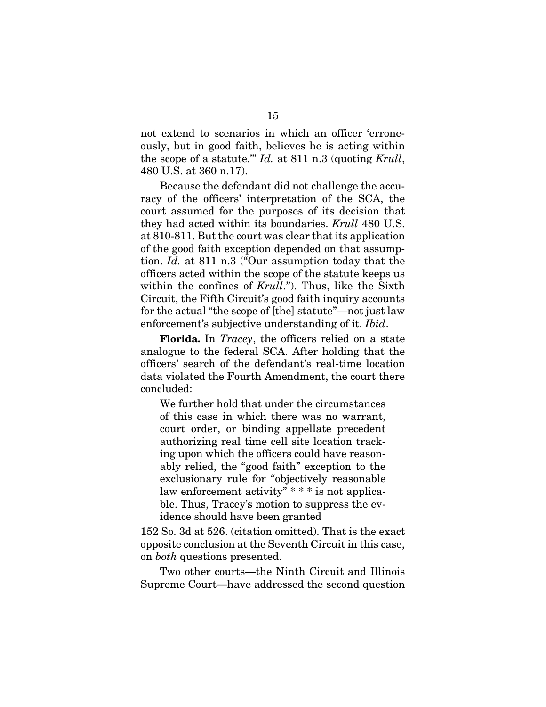<span id="page-20-0"></span>not extend to scenarios in which an officer 'erroneously, but in good faith, believes he is acting within the scope of a statute.'" *Id.* at 811 n.3 (quoting *Krull*, 480 U.S. at 360 n.17).

Because the defendant did not challenge the accuracy of the officers' interpretation of the SCA, the court assumed for the purposes of its decision that they had acted within its boundaries. *Krull* 480 U.S. at 810-811. But the court was clear that its application of the good faith exception depended on that assumption. *Id.* at 811 n.3 ("Our assumption today that the officers acted within the scope of the statute keeps us within the confines of *Krull*."). Thus, like the Sixth Circuit, the Fifth Circuit's good faith inquiry accounts for the actual "the scope of [the] statute"—not just law enforcement's subjective understanding of it. *Ibid*.

Florida. In *Tracey*, the officers relied on a state analogue to the federal SCA. After holding that the officers' search of the defendant's real-time location data violated the Fourth Amendment, the court there concluded:

We further hold that under the circumstances of this case in which there was no warrant, court order, or binding appellate precedent authorizing real time cell site location tracking upon which the officers could have reasonably relied, the "good faith" exception to the exclusionary rule for "objectively reasonable law enforcement activity" \* \* \* is not applicable. Thus, Tracey's motion to suppress the evidence should have been granted

152 So. 3d at 526. (citation omitted). That is the exact opposite conclusion at the Seventh Circuit in this case, on *both* questions presented.

Two other courts—the Ninth Circuit and Illinois Supreme Court—have addressed the second question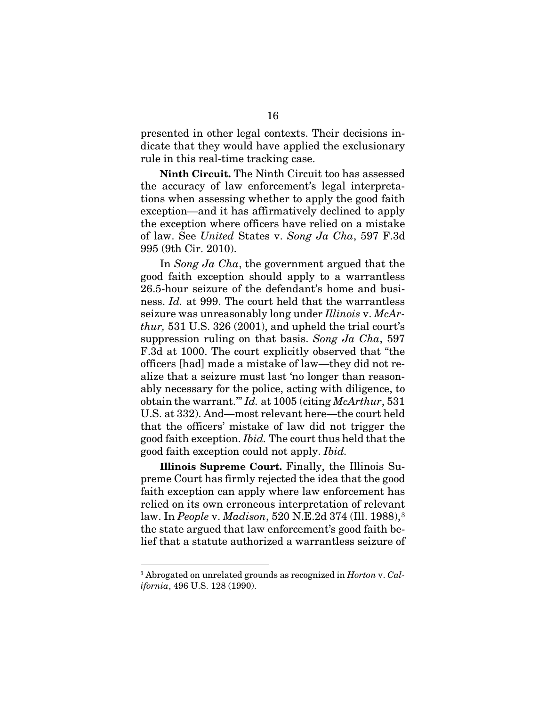presented in other legal contexts. Their decisions indicate that they would have applied the exclusionary rule in this real-time tracking case.

Ninth Circuit. The Ninth Circuit too has assessed the accuracy of law enforcement's legal interpretations when assessing whether to apply the good faith exception—and it has affirmatively declined to apply the exception where officers have relied on a mistake of law. See *United* States v. *Song Ja Cha*, 597 F.3d 995 (9th Cir. 2010).

<span id="page-21-1"></span>In *Song Ja Cha*, the government argued that the good faith exception should apply to a warrantless 26.5-hour seizure of the defendant's home and business. *Id.* at 999. The court held that the warrantless seizure was unreasonably long under *Illinois* v. *McArthur,* 531 U.S. 326 (2001), and upheld the trial court's suppression ruling on that basis. *Song Ja Cha*, 597 F.3d at 1000. The court explicitly observed that "the officers [had] made a mistake of law—they did not realize that a seizure must last 'no longer than reasonably necessary for the police, acting with diligence, to obtain the warrant.'" *Id.* at 1005 (citing *McArthur*, 531 U.S. at 332). And—most relevant here—the court held that the officers' mistake of law did not trigger the good faith exception. *Ibid.* The court thus held that the good faith exception could not apply. *Ibid.*

<span id="page-21-2"></span>Illinois Supreme Court. Finally, the Illinois Supreme Court has firmly rejected the idea that the good faith exception can apply where law enforcement has relied on its own erroneous interpretation of relevant law. In *People* v. *Madison*, 520 N.E.2d 374 (Ill. 1988),[3](#page-21-3) the state argued that law enforcement's good faith belief that a statute authorized a warrantless seizure of

<span id="page-21-3"></span><span id="page-21-0"></span><sup>3</sup> Abrogated on unrelated grounds as recognized in *Horton* v. *California*, 496 U.S. 128 (1990).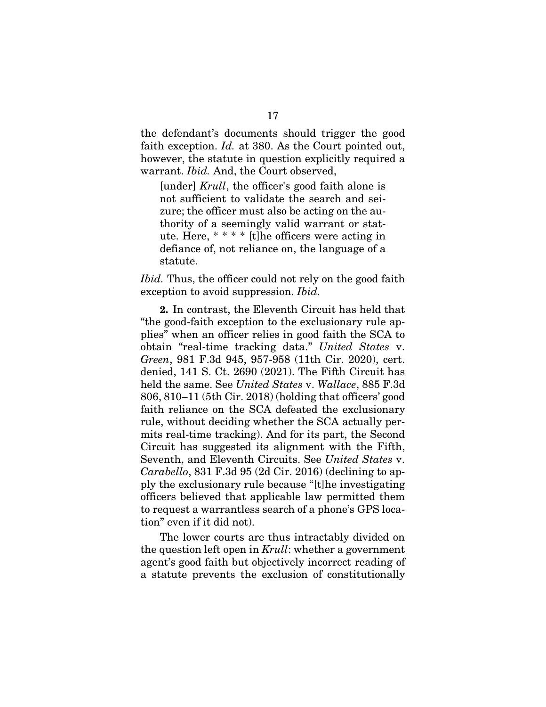the defendant's documents should trigger the good faith exception. *Id.* at 380. As the Court pointed out, however, the statute in question explicitly required a warrant. *Ibid.* And, the Court observed,

<span id="page-22-0"></span>[under] *Krull*, the officer's good faith alone is not sufficient to validate the search and seizure; the officer must also be acting on the authority of a seemingly valid warrant or statute. Here, \* \* \* \* [t]he officers were acting in defiance of, not reliance on, the language of a statute.

*Ibid.* Thus, the officer could not rely on the good faith exception to avoid suppression. *Ibid.*

<span id="page-22-3"></span><span id="page-22-2"></span>2. In contrast, the Eleventh Circuit has held that "the good-faith exception to the exclusionary rule applies" when an officer relies in good faith the SCA to obtain "real-time tracking data." *United States* v. *Green*, 981 F.3d 945, 957-958 (11th Cir. 2020), cert. denied, 141 S. Ct. 2690 (2021). The Fifth Circuit has held the same. See *United States* v. *Wallace*, 885 F.3d 806, 810–11 (5th Cir. 2018) (holding that officers' good faith reliance on the SCA defeated the exclusionary rule, without deciding whether the SCA actually permits real-time tracking). And for its part, the Second Circuit has suggested its alignment with the Fifth, Seventh, and Eleventh Circuits. See *United States* v. *Carabello*, 831 F.3d 95 (2d Cir. 2016) (declining to apply the exclusionary rule because "[t]he investigating officers believed that applicable law permitted them to request a warrantless search of a phone's GPS location" even if it did not).

<span id="page-22-1"></span>The lower courts are thus intractably divided on the question left open in *Krull*: whether a government agent's good faith but objectively incorrect reading of a statute prevents the exclusion of constitutionally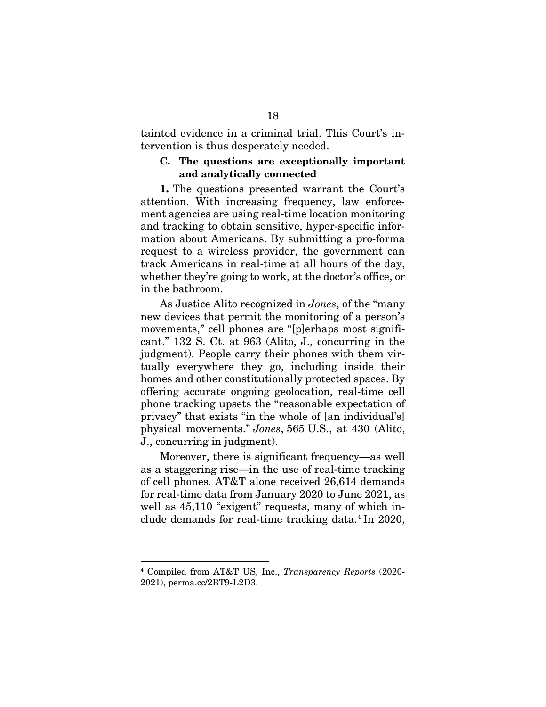tainted evidence in a criminal trial. This Court's intervention is thus desperately needed.

## <span id="page-23-0"></span>C. The questions are exceptionally important and analytically connected

1. The questions presented warrant the Court's attention. With increasing frequency, law enforcement agencies are using real-time location monitoring and tracking to obtain sensitive, hyper-specific information about Americans. By submitting a pro-forma request to a wireless provider, the government can track Americans in real-time at all hours of the day, whether they're going to work, at the doctor's office, or in the bathroom.

As Justice Alito recognized in *Jones*, of the "many new devices that permit the monitoring of a person's movements," cell phones are "[p]erhaps most significant." 132 S. Ct. at 963 (Alito, J., concurring in the judgment). People carry their phones with them virtually everywhere they go, including inside their homes and other constitutionally protected spaces. By offering accurate ongoing geolocation, real-time cell phone tracking upsets the "reasonable expectation of privacy" that exists "in the whole of [an individual's] physical movements." *Jones*, 565 U.S., at 430 (Alito, J., concurring in judgment).

Moreover, there is significant frequency—as well as a staggering rise—in the use of real-time tracking of cell phones. AT&T alone received 26,614 demands for real-time data from January 2020 to June 2021, as well as  $45,110$  "exigent" requests, many of which include demands for real-time tracking data.[4](#page-23-2) In 2020,

<span id="page-23-2"></span><span id="page-23-1"></span><sup>4</sup> Compiled from AT&T US, Inc., *Transparency Reports* (2020- 2021), perma.cc/2BT9-L2D3.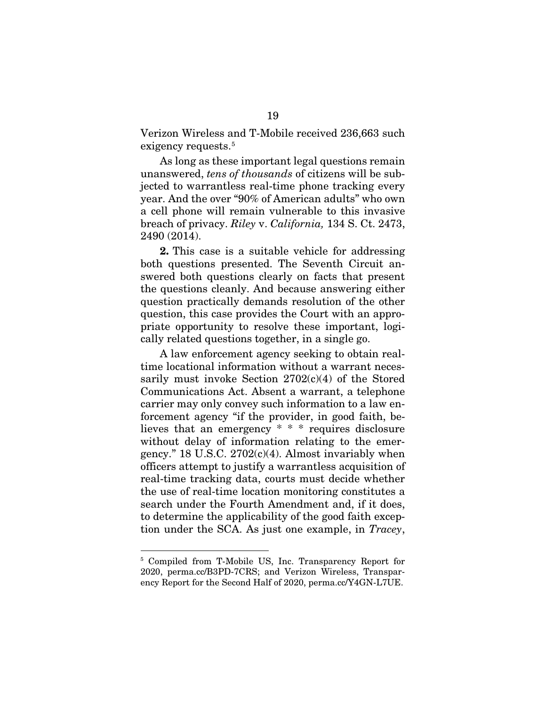Verizon Wireless and T-Mobile received 236,663 such exigency requests.<sup>[5](#page-24-3)</sup>

As long as these important legal questions remain unanswered, *tens of thousands* of citizens will be subjected to warrantless real-time phone tracking every year. And the over "90% of American adults" who own a cell phone will remain vulnerable to this invasive breach of privacy. *Riley* v. *California,* 134 S. Ct. 2473, 2490 (2014).

<span id="page-24-0"></span>2. This case is a suitable vehicle for addressing both questions presented. The Seventh Circuit answered both questions clearly on facts that present the questions cleanly. And because answering either question practically demands resolution of the other question, this case provides the Court with an appropriate opportunity to resolve these important, logically related questions together, in a single go.

<span id="page-24-1"></span>A law enforcement agency seeking to obtain realtime locational information without a warrant necessarily must invoke Section  $2702(c)(4)$  of the Stored Communications Act. Absent a warrant, a telephone carrier may only convey such information to a law enforcement agency "if the provider, in good faith, believes that an emergency \* \* \* requires disclosure without delay of information relating to the emergency." 18 U.S.C. 2702(c)(4). Almost invariably when officers attempt to justify a warrantless acquisition of real-time tracking data, courts must decide whether the use of real-time location monitoring constitutes a search under the Fourth Amendment and, if it does, to determine the applicability of the good faith exception under the SCA. As just one example, in *Tracey*,

<span id="page-24-3"></span><span id="page-24-2"></span><sup>5</sup> Compiled from T-Mobile US, Inc. Transparency Report for 2020, perma.cc/B3PD-7CRS; and Verizon Wireless, Transparency Report for the Second Half of 2020, perma.cc/Y4GN-L7UE.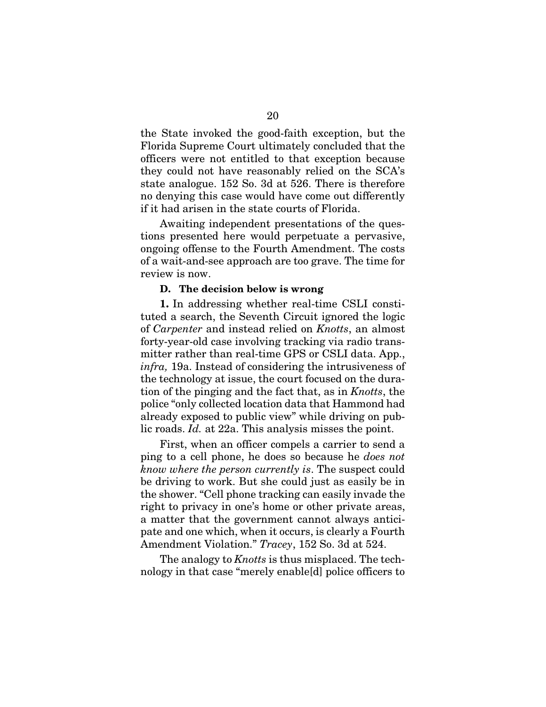the State invoked the good-faith exception, but the Florida Supreme Court ultimately concluded that the officers were not entitled to that exception because they could not have reasonably relied on the SCA's state analogue. 152 So. 3d at 526. There is therefore no denying this case would have come out differently if it had arisen in the state courts of Florida.

Awaiting independent presentations of the questions presented here would perpetuate a pervasive, ongoing offense to the Fourth Amendment. The costs of a wait-and-see approach are too grave. The time for review is now.

### D. The decision below is wrong

<span id="page-25-0"></span>1. In addressing whether real-time CSLI constituted a search, the Seventh Circuit ignored the logic of *Carpenter* and instead relied on *Knotts*, an almost forty-year-old case involving tracking via radio transmitter rather than real-time GPS or CSLI data. App., *infra,* 19a. Instead of considering the intrusiveness of the technology at issue, the court focused on the duration of the pinging and the fact that, as in *Knotts*, the police "only collected location data that Hammond had already exposed to public view" while driving on public roads. *Id.* at 22a. This analysis misses the point.

First, when an officer compels a carrier to send a ping to a cell phone, he does so because he *does not know where the person currently is*. The suspect could be driving to work. But she could just as easily be in the shower. "Cell phone tracking can easily invade the right to privacy in one's home or other private areas, a matter that the government cannot always anticipate and one which, when it occurs, is clearly a Fourth Amendment Violation." *Tracey*, 152 So. 3d at 524.

The analogy to *Knotts* is thus misplaced. The technology in that case "merely enable[d] police officers to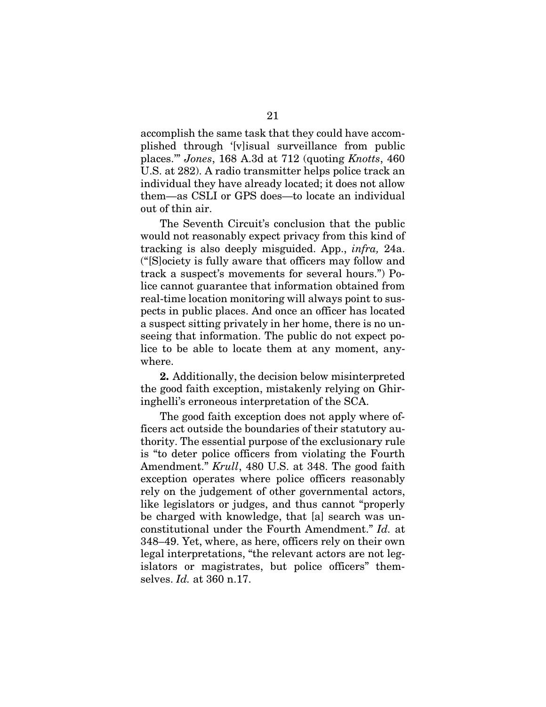accomplish the same task that they could have accomplished through '[v]isual surveillance from public places.'" *Jones*, 168 A.3d at 712 (quoting *Knotts*, 460 U.S. at 282). A radio transmitter helps police track an individual they have already located; it does not allow them—as CSLI or GPS does—to locate an individual out of thin air.

The Seventh Circuit's conclusion that the public would not reasonably expect privacy from this kind of tracking is also deeply misguided. App., *infra,* 24a. ("[S]ociety is fully aware that officers may follow and track a suspect's movements for several hours.") Police cannot guarantee that information obtained from real-time location monitoring will always point to suspects in public places. And once an officer has located a suspect sitting privately in her home, there is no unseeing that information. The public do not expect police to be able to locate them at any moment, anywhere.

2. Additionally, the decision below misinterpreted the good faith exception, mistakenly relying on Ghiringhelli's erroneous interpretation of the SCA.

The good faith exception does not apply where officers act outside the boundaries of their statutory authority. The essential purpose of the exclusionary rule is "to deter police officers from violating the Fourth Amendment." *Krull*, 480 U.S. at 348. The good faith exception operates where police officers reasonably rely on the judgement of other governmental actors, like legislators or judges, and thus cannot "properly be charged with knowledge, that [a] search was unconstitutional under the Fourth Amendment." *Id.* at 348–49. Yet, where, as here, officers rely on their own legal interpretations, "the relevant actors are not legislators or magistrates, but police officers" themselves. *Id.* at 360 n.17.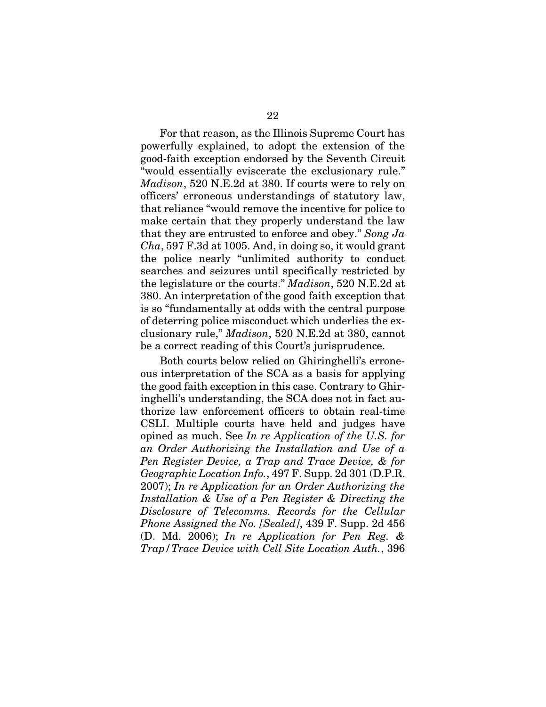<span id="page-27-3"></span>For that reason, as the Illinois Supreme Court has powerfully explained, to adopt the extension of the good-faith exception endorsed by the Seventh Circuit "would essentially eviscerate the exclusionary rule." *Madison*, 520 N.E.2d at 380. If courts were to rely on officers' erroneous understandings of statutory law, that reliance "would remove the incentive for police to make certain that they properly understand the law that they are entrusted to enforce and obey." *Song Ja Cha*, 597 F.3d at 1005. And, in doing so, it would grant the police nearly "unlimited authority to conduct searches and seizures until specifically restricted by the legislature or the courts." *Madison*, 520 N.E.2d at 380. An interpretation of the good faith exception that is so "fundamentally at odds with the central purpose of deterring police misconduct which underlies the exclusionary rule," *Madison*, 520 N.E.2d at 380, cannot be a correct reading of this Court's jurisprudence.

<span id="page-27-2"></span><span id="page-27-1"></span><span id="page-27-0"></span>Both courts below relied on Ghiringhelli's erroneous interpretation of the SCA as a basis for applying the good faith exception in this case. Contrary to Ghiringhelli's understanding, the SCA does not in fact authorize law enforcement officers to obtain real-time CSLI. Multiple courts have held and judges have opined as much. See *In re Application of the U.S. for an Order Authorizing the Installation and Use of a Pen Register Device, a Trap and Trace Device, & for Geographic Location Info.*, 497 F. Supp. 2d 301 (D.P.R. 2007); *In re Application for an Order Authorizing the Installation & Use of a Pen Register & Directing the Disclosure of Telecomms. Records for the Cellular Phone Assigned the No. [Sealed]*, 439 F. Supp. 2d 456 (D. Md. 2006); *In re Application for Pen Reg. & Trap/Trace Device with Cell Site Location Auth.*, 396